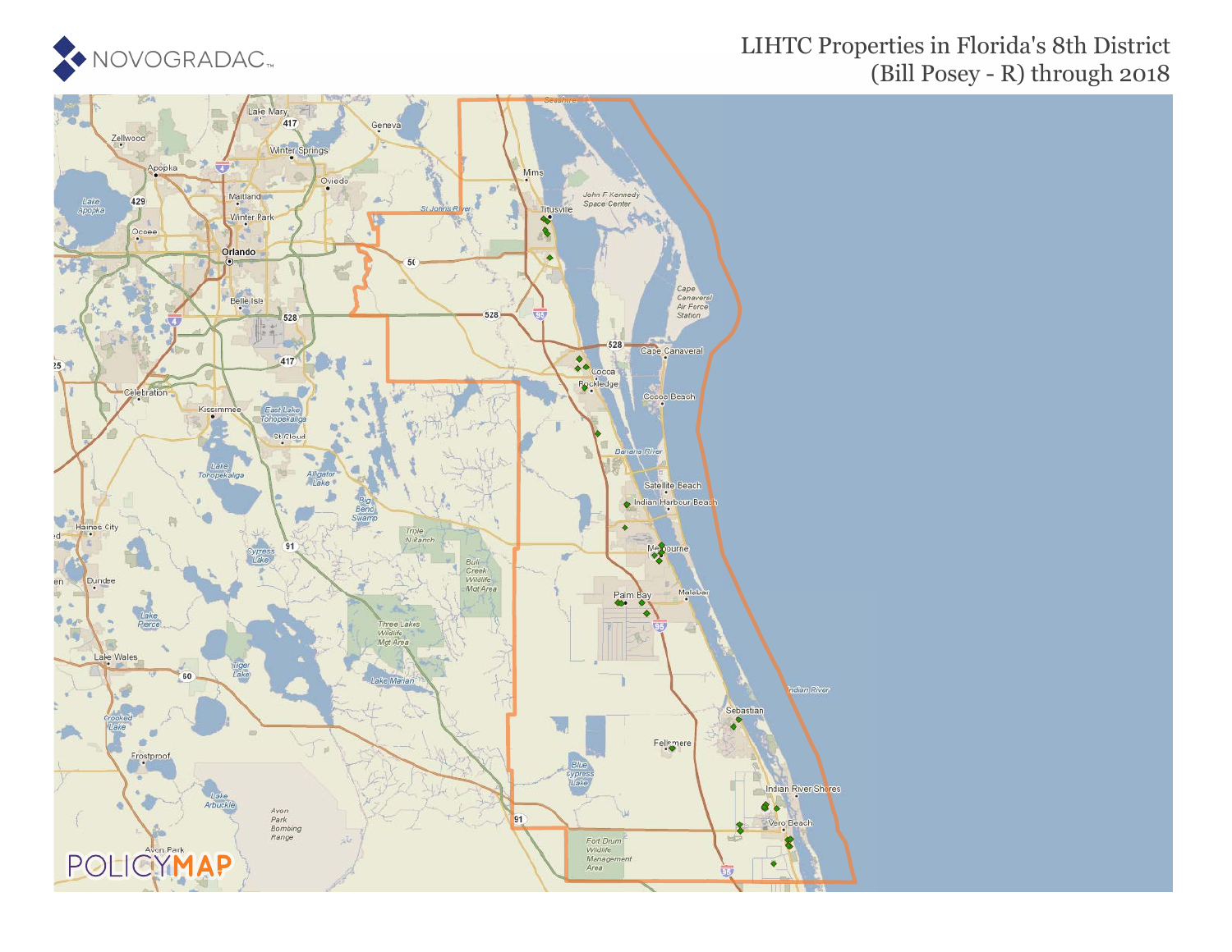

## LIHTC Properties in Florida's 8th District (Bill Posey - R) through 2018

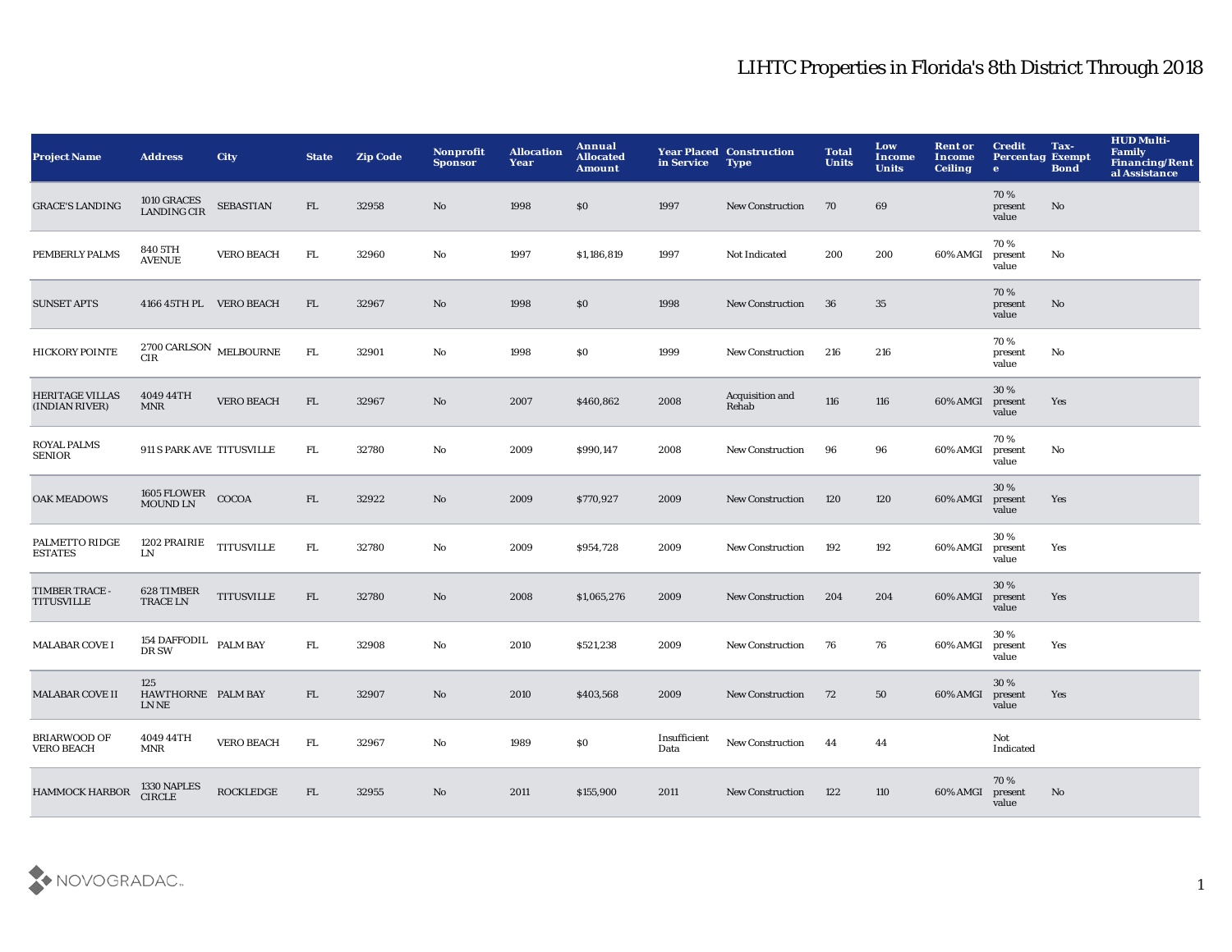| <b>Project Name</b>                      | <b>Address</b>                                   | <b>City</b>       | <b>State</b> | <b>Zip Code</b> | <b>Nonprofit</b><br><b>Sponsor</b> | <b>Allocation</b><br>Year | Annual<br><b>Allocated</b><br><b>Amount</b> | in Service           | <b>Year Placed Construction</b><br><b>Type</b> | <b>Total</b><br><b>Units</b> | Low<br>Income<br><b>Units</b> | <b>Rent or</b><br><b>Income</b><br><b>Ceiling</b> | <b>Credit</b><br><b>Percentag Exempt</b><br>$\bullet$ | Tax-<br><b>Bond</b>    | <b>HUD Multi-</b><br>Family<br><b>Financing/Rent</b><br>al Assistance |
|------------------------------------------|--------------------------------------------------|-------------------|--------------|-----------------|------------------------------------|---------------------------|---------------------------------------------|----------------------|------------------------------------------------|------------------------------|-------------------------------|---------------------------------------------------|-------------------------------------------------------|------------------------|-----------------------------------------------------------------------|
| <b>GRACE'S LANDING</b>                   | 1010 GRACES<br>LANDING CIR                       | <b>SEBASTIAN</b>  | FL           | 32958           | No                                 | 1998                      | \$0                                         | 1997                 | <b>New Construction</b>                        | 70                           | 69                            |                                                   | 70%<br>present<br>value                               | No                     |                                                                       |
| PEMBERLY PALMS                           | 840 5TH<br><b>AVENUE</b>                         | <b>VERO BEACH</b> | FL.          | 32960           | No                                 | 1997                      | \$1,186,819                                 | 1997                 | Not Indicated                                  | 200                          | 200                           | 60% AMGI                                          | 70%<br>present<br>value                               | No                     |                                                                       |
| <b>SUNSET APTS</b>                       | 4166 45TH PL VERO BEACH                          |                   | FL           | 32967           | No                                 | 1998                      | \$0                                         | 1998                 | <b>New Construction</b>                        | 36                           | 35                            |                                                   | 70%<br>present<br>value                               | $\mathbf{N}\mathbf{o}$ |                                                                       |
| <b>HICKORY POINTE</b>                    | $2700\,\mbox{CARLSON}\,$ MELBOURNE<br><b>CIR</b> |                   | FL.          | 32901           | No                                 | 1998                      | \$0                                         | 1999                 | New Construction                               | 216                          | 216                           |                                                   | 70%<br>present<br>value                               | No                     |                                                                       |
| <b>HERITAGE VILLAS</b><br>(INDIAN RIVER) | 4049 44TH<br><b>MNR</b>                          | <b>VERO BEACH</b> | FL           | 32967           | No                                 | 2007                      | \$460,862                                   | 2008                 | Acquisition and<br>Rehab                       | 116                          | 116                           | 60% AMGI                                          | 30%<br>present<br>value                               | Yes                    |                                                                       |
| <b>ROYAL PALMS</b><br>SENIOR             | 911 S PARK AVE TITUSVILLE                        |                   | FL.          | 32780           | No                                 | 2009                      | \$990,147                                   | 2008                 | <b>New Construction</b>                        | 96                           | 96                            | 60% AMGI                                          | 70%<br>present<br>value                               | No                     |                                                                       |
| <b>OAK MEADOWS</b>                       |                                                  |                   | FL           | 32922           | No                                 | 2009                      | \$770,927                                   | 2009                 | <b>New Construction</b>                        | 120                          | 120                           | 60% AMGI                                          | 30%<br>present<br>value                               | Yes                    |                                                                       |
| PALMETTO RIDGE<br><b>ESTATES</b>         | 1202 PRAIRIE<br>${\rm LN}$                       | <b>TITUSVILLE</b> | FL           | 32780           | No                                 | 2009                      | \$954,728                                   | 2009                 | <b>New Construction</b>                        | 192                          | 192                           | 60% AMGI                                          | 30%<br>present<br>value                               | Yes                    |                                                                       |
| TIMBER TRACE -<br><b>TITUSVILLE</b>      | 628 TIMBER<br><b>TRACE LN</b>                    | <b>TITUSVILLE</b> | ${\rm FL}$   | 32780           | No                                 | 2008                      | \$1,065,276                                 | 2009                 | <b>New Construction</b>                        | 204                          | 204                           | 60% AMGI                                          | 30%<br>present<br>value                               | Yes                    |                                                                       |
| <b>MALABAR COVE I</b>                    | 154 DAFFODIL $\;$ PALM BAY<br>DR SW              |                   | FL           | 32908           | $\mathbf{No}$                      | 2010                      | \$521,238                                   | 2009                 | <b>New Construction</b>                        | 76                           | 76                            | 60% AMGI                                          | 30%<br>present<br>value                               | Yes                    |                                                                       |
| <b>MALABAR COVE II</b>                   | 125<br>HAWTHORNE PALM BAY<br>LN NE               |                   | FL           | 32907           | No                                 | 2010                      | \$403,568                                   | 2009                 | <b>New Construction</b>                        | 72                           | 50                            | 60% AMGI                                          | 30 %<br>present<br>value                              | Yes                    |                                                                       |
| <b>BRIARWOOD OF</b><br><b>VERO BEACH</b> | 4049 44TH<br><b>MNR</b>                          | <b>VERO BEACH</b> | FL.          | 32967           | No                                 | 1989                      | \$0                                         | Insufficient<br>Data | New Construction                               | -44                          | 44                            |                                                   | Not<br>Indicated                                      |                        |                                                                       |
| <b>HAMMOCK HARBOR</b>                    | 1330 NAPLES<br><b>CIRCLE</b>                     | <b>ROCKLEDGE</b>  | FL           | 32955           | No                                 | 2011                      | \$155,900                                   | 2011                 | <b>New Construction</b>                        | 122                          | 110                           | 60% AMGI                                          | 70%<br>present<br>value                               | No                     |                                                                       |

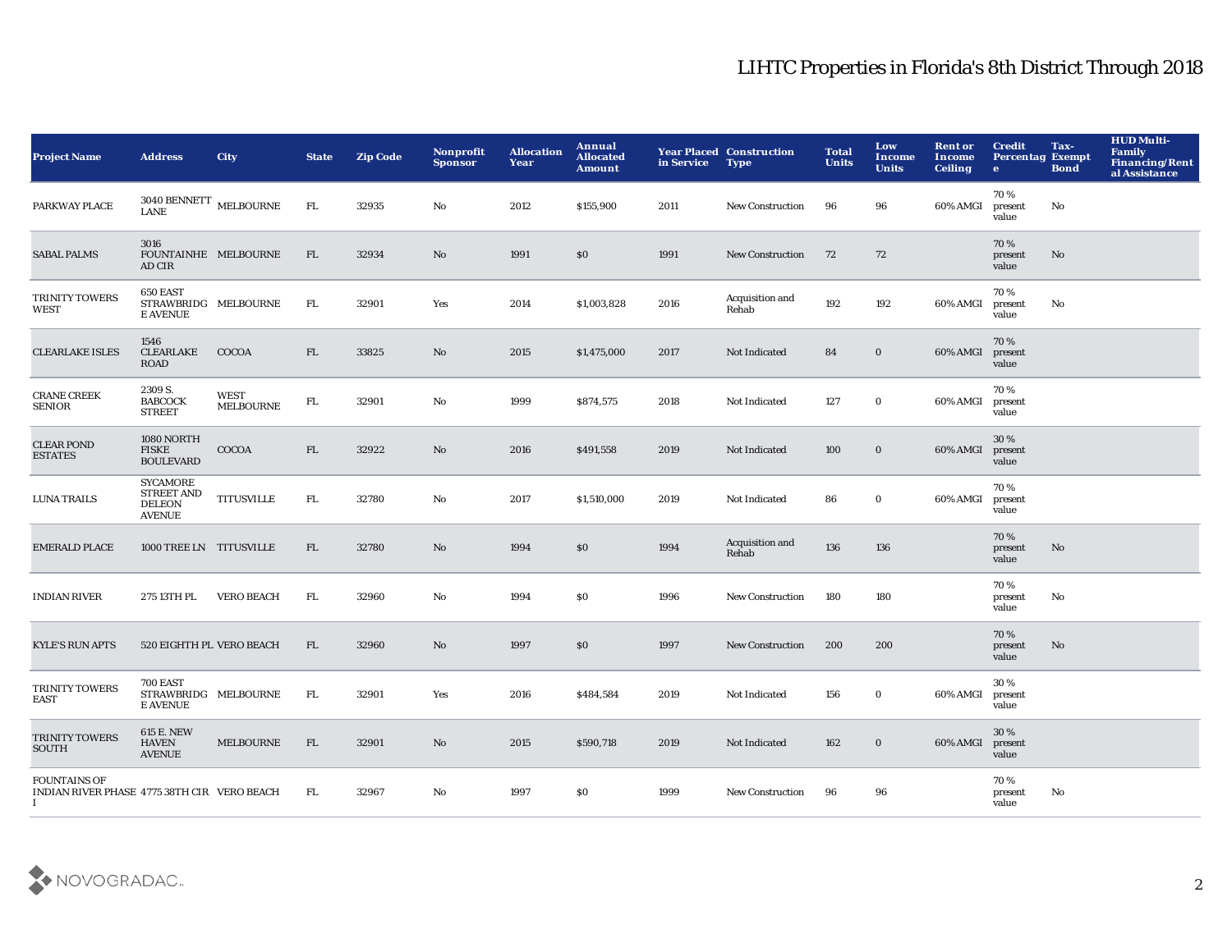| <b>Project Name</b>                                                      | <b>Address</b>                                                         | <b>City</b>              | <b>State</b> | <b>Zip Code</b> | <b>Nonprofit</b><br><b>Sponsor</b> | <b>Allocation</b><br><b>Year</b> | Annual<br><b>Allocated</b><br><b>Amount</b> | in Service | <b>Year Placed Construction</b><br><b>Type</b> | <b>Total</b><br><b>Units</b> | Low<br><b>Income</b><br><b>Units</b> | <b>Rent or</b><br><b>Income</b><br><b>Ceiling</b> | <b>Credit</b><br><b>Percentag Exempt</b><br>$\bullet$ | Tax-<br><b>Bond</b> | <b>HUD Multi-</b><br><b>Family</b><br>Financing/Rent<br>al Assistance |
|--------------------------------------------------------------------------|------------------------------------------------------------------------|--------------------------|--------------|-----------------|------------------------------------|----------------------------------|---------------------------------------------|------------|------------------------------------------------|------------------------------|--------------------------------------|---------------------------------------------------|-------------------------------------------------------|---------------------|-----------------------------------------------------------------------|
| PARKWAY PLACE                                                            | $3040\, \mbox{BENNETT}$ MELBOURNE<br><b>LANE</b>                       |                          | FL.          | 32935           | No                                 | 2012                             | \$155,900                                   | 2011       | New Construction                               | 96                           | 96                                   | 60% AMGI                                          | 70%<br>present<br>value                               | No                  |                                                                       |
| <b>SABAL PALMS</b>                                                       | 3016<br>FOUNTAINHE MELBOURNE<br>AD CIR                                 |                          | FL           | 32934           | No                                 | 1991                             | \$0                                         | 1991       | <b>New Construction</b>                        | 72                           | 72                                   |                                                   | 70 %<br>present<br>value                              | No                  |                                                                       |
| TRINITY TOWERS<br>WEST                                                   | 650 EAST<br>STRAWBRIDG MELBOURNE<br><b>E AVENUE</b>                    |                          | FL.          | 32901           | Yes                                | 2014                             | \$1,003,828                                 | 2016       | Acquisition and<br>Rehab                       | 192                          | 192                                  | 60% AMGI                                          | 70%<br>present<br>value                               | No                  |                                                                       |
| <b>CLEARLAKE ISLES</b>                                                   | 1546<br>CLEARLAKE<br><b>ROAD</b>                                       | COCOA                    | FL.          | 33825           | $\mathbf{N}\mathbf{o}$             | 2015                             | \$1,475,000                                 | 2017       | Not Indicated                                  | 84                           | $\bf{0}$                             | 60% AMGI                                          | 70%<br>present<br>value                               |                     |                                                                       |
| <b>CRANE CREEK</b><br><b>SENIOR</b>                                      | 2309 S.<br><b>BABCOCK</b><br><b>STREET</b>                             | WEST<br><b>MELBOURNE</b> | FL.          | 32901           | No                                 | 1999                             | \$874,575                                   | 2018       | Not Indicated                                  | 127                          | $\bf{0}$                             | 60% AMGI                                          | 70%<br>present<br>value                               |                     |                                                                       |
| <b>CLEAR POND</b><br><b>ESTATES</b>                                      | 1080 NORTH<br>FISKE<br><b>BOULEVARD</b>                                | COCOA                    | FL           | 32922           | No                                 | 2016                             | \$491,558                                   | 2019       | Not Indicated                                  | 100                          | $\bf{0}$                             | 60% AMGI                                          | 30%<br>present<br>value                               |                     |                                                                       |
| <b>LUNA TRAILS</b>                                                       | <b>SYCAMORE</b><br><b>STREET AND</b><br><b>DELEON</b><br><b>AVENUE</b> | <b>TITUSVILLE</b>        | FL.          | 32780           | $\rm No$                           | 2017                             | \$1,510,000                                 | 2019       | Not Indicated                                  | 86                           | $\mathbf 0$                          | 60% AMGI                                          | 70%<br>present<br>value                               |                     |                                                                       |
| <b>EMERALD PLACE</b>                                                     | 1000 TREE LN TITUSVILLE                                                |                          | FL.          | 32780           | No                                 | 1994                             | \$0                                         | 1994       | Acquisition and<br>Rehab                       | 136                          | 136                                  |                                                   | 70%<br>present<br>value                               | No                  |                                                                       |
| <b>INDIAN RIVER</b>                                                      | 275 13TH PL                                                            | <b>VERO BEACH</b>        | FL.          | 32960           | No                                 | 1994                             | SO.                                         | 1996       | <b>New Construction</b>                        | 180                          | 180                                  |                                                   | 70%<br>present<br>value                               | No                  |                                                                       |
| <b>KYLE'S RUN APTS</b>                                                   | 520 EIGHTH PL VERO BEACH                                               |                          | FL.          | 32960           | $\mathbf{N}\mathbf{o}$             | 1997                             | \$0                                         | 1997       | <b>New Construction</b>                        | 200                          | 200                                  |                                                   | 70%<br>present<br>value                               | No                  |                                                                       |
| TRINITY TOWERS<br>EAST                                                   | <b>700 EAST</b><br>STRAWBRIDG MELBOURNE<br><b>E AVENUE</b>             |                          | FL.          | 32901           | Yes                                | 2016                             | \$484,584                                   | 2019       | Not Indicated                                  | 156                          | $\bf{0}$                             | 60% AMGI                                          | 30%<br>present<br>value                               |                     |                                                                       |
| TRINITY TOWERS<br><b>SOUTH</b>                                           | <b>615 E. NEW</b><br><b>HAVEN</b><br><b>AVENUE</b>                     | <b>MELBOURNE</b>         | FL           | 32901           | No                                 | 2015                             | \$590,718                                   | 2019       | Not Indicated                                  | 162                          | $\mathbf 0$                          | 60% AMGI                                          | 30%<br>present<br>value                               |                     |                                                                       |
| <b>FOUNTAINS OF</b><br>INDIAN RIVER PHASE 4775 38TH CIR VERO BEACH<br>Ι. |                                                                        |                          | FL.          | 32967           | No                                 | 1997                             | <b>SO</b>                                   | 1999       | <b>New Construction</b>                        | 96                           | 96                                   |                                                   | 70%<br>present<br>value                               | No                  |                                                                       |

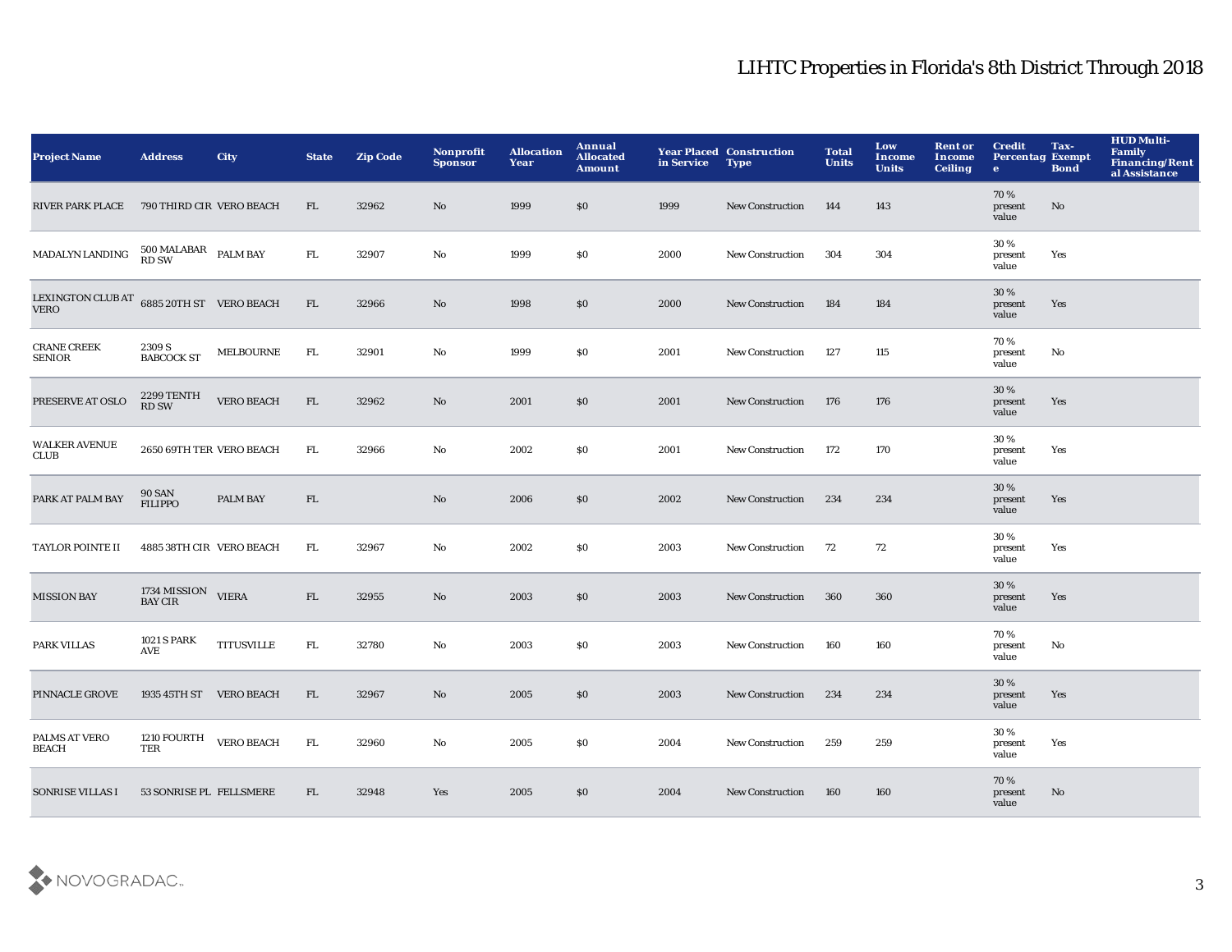| <b>Project Name</b>                 | <b>Address</b>                         | <b>City</b>       | <b>State</b> | <b>Zip Code</b> | Nonprofit<br><b>Sponsor</b> | <b>Allocation</b><br>Year | <b>Annual</b><br><b>Allocated</b><br><b>Amount</b> | in Service | <b>Year Placed Construction</b><br><b>Type</b> | <b>Total</b><br><b>Units</b> | Low<br><b>Income</b><br><b>Units</b> | <b>Rent or</b><br>Income<br><b>Ceiling</b> | <b>Credit</b><br><b>Percentag Exempt</b><br>$\bullet$ | Tax-<br><b>Bond</b> | <b>HUD Multi-</b><br><b>Family</b><br><b>Financing/Rent</b><br>al Assistance |
|-------------------------------------|----------------------------------------|-------------------|--------------|-----------------|-----------------------------|---------------------------|----------------------------------------------------|------------|------------------------------------------------|------------------------------|--------------------------------------|--------------------------------------------|-------------------------------------------------------|---------------------|------------------------------------------------------------------------------|
| <b>RIVER PARK PLACE</b>             | 790 THIRD CIR VERO BEACH               |                   | FL           | 32962           | No                          | 1999                      | \$0                                                | 1999       | <b>New Construction</b>                        | 144                          | 143                                  |                                            | 70%<br>present<br>value                               | No                  |                                                                              |
| <b>MADALYN LANDING</b>              | $500\,\mathrm{MALABAR}$ PALM BAY RD SW |                   | FL.          | 32907           | No                          | 1999                      | \$0                                                | 2000       | <b>New Construction</b>                        | 304                          | 304                                  |                                            | 30%<br>present<br>value                               | Yes                 |                                                                              |
| LEXINGTON CLUB AT<br>VERO           | 6885 20TH ST VERO BEACH                |                   | ${\rm FL}$   | 32966           | No                          | 1998                      | \$0                                                | 2000       | <b>New Construction</b>                        | 184                          | 184                                  |                                            | 30%<br>present<br>value                               | Yes                 |                                                                              |
| <b>CRANE CREEK</b><br><b>SENIOR</b> | 2309 S<br><b>BABCOCK ST</b>            | MELBOURNE         | FL.          | 32901           | No                          | 1999                      | \$0                                                | 2001       | New Construction                               | 127                          | 115                                  |                                            | 70%<br>present<br>value                               | No                  |                                                                              |
| PRESERVE AT OSLO                    | 2299 TENTH<br><b>RD SW</b>             | <b>VERO BEACH</b> | FL           | 32962           | No                          | 2001                      | \$0                                                | 2001       | <b>New Construction</b>                        | 176                          | 176                                  |                                            | 30 %<br>present<br>value                              | Yes                 |                                                                              |
| <b>WALKER AVENUE</b><br><b>CLUB</b> | 2650 69TH TER VERO BEACH               |                   | FL.          | 32966           | No                          | 2002                      | \$0                                                | 2001       | New Construction                               | 172                          | 170                                  |                                            | 30%<br>present<br>value                               | Yes                 |                                                                              |
| PARK AT PALM BAY                    | <b>90 SAN</b><br><b>FILIPPO</b>        | <b>PALM BAY</b>   | ${\rm FL}$   |                 | $\mathbf{N}\mathbf{o}$      | 2006                      | \$0                                                | 2002       | <b>New Construction</b>                        | 234                          | 234                                  |                                            | 30 %<br>present<br>value                              | Yes                 |                                                                              |
| <b>TAYLOR POINTE II</b>             | 4885 38TH CIR VERO BEACH               |                   | FL.          | 32967           | No                          | 2002                      | \$0                                                | 2003       | New Construction                               | 72                           | 72                                   |                                            | 30%<br>present<br>value                               | Yes                 |                                                                              |
| <b>MISSION BAY</b>                  | 1734 MISSION VIERA<br><b>BAY CIR</b>   |                   | FL           | 32955           | No                          | 2003                      | \$0                                                | 2003       | <b>New Construction</b>                        | 360                          | 360                                  |                                            | 30 %<br>present<br>value                              | Yes                 |                                                                              |
| PARK VILLAS                         | <b>1021 S PARK</b><br>AVE              | <b>TITUSVILLE</b> | ${\rm FL}$   | 32780           | $\mathbf{No}$               | 2003                      | \$0                                                | 2003       | <b>New Construction</b>                        | 160                          | 160                                  |                                            | 70%<br>present<br>value                               | No                  |                                                                              |
| PINNACLE GROVE                      | 1935 45TH ST VERO BEACH                |                   | FL           | 32967           | No                          | 2005                      | \$0                                                | 2003       | <b>New Construction</b>                        | 234                          | 234                                  |                                            | 30%<br>present<br>value                               | Yes                 |                                                                              |
| PALMS AT VERO<br><b>BEACH</b>       | 1210 FOURTH<br>TER                     | <b>VERO BEACH</b> | FL.          | 32960           | No                          | 2005                      | \$0                                                | 2004       | <b>New Construction</b>                        | 259                          | 259                                  |                                            | 30 %<br>present<br>value                              | Yes                 |                                                                              |
| SONRISE VILLAS I                    | 53 SONRISE PL FELLSMERE                |                   | FL.          | 32948           | Yes                         | 2005                      | \$0                                                | 2004       | <b>New Construction</b>                        | 160                          | 160                                  |                                            | 70%<br>present<br>value                               | No                  |                                                                              |